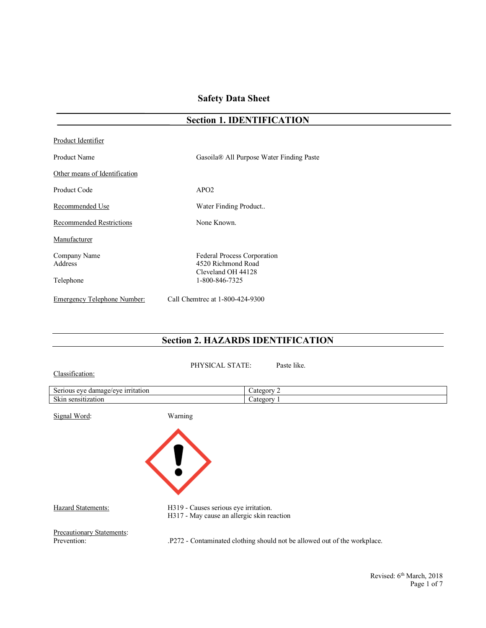## **Safety Data Sheet**

|                                 | Section 1. IDENTIFICATION                                               |  |
|---------------------------------|-------------------------------------------------------------------------|--|
| Product Identifier              |                                                                         |  |
| <b>Product Name</b>             | Gasoila® All Purpose Water Finding Paste                                |  |
| Other means of Identification   |                                                                         |  |
| <b>Product Code</b>             | APO2                                                                    |  |
| Recommended Use                 | Water Finding Product                                                   |  |
| <b>Recommended Restrictions</b> | None Known.                                                             |  |
| Manufacturer                    |                                                                         |  |
| Company Name<br>Address         | Federal Process Corporation<br>4520 Richmond Road<br>Cleveland OH 44128 |  |
| Telephone                       | 1-800-846-7325                                                          |  |
| Emergency Telephone Number:     | Call Chemtrec at 1-800-424-9300                                         |  |

# **Section 1. IDENTIFICATION**

## **Section 2. HAZARDS IDENTIFICATION**

PHYSICAL STATE: Paste like.

Classification:

| irritation<br>Serious<br>damage/<br>eve<br>$1 \text{er}$ | Categor            |
|----------------------------------------------------------|--------------------|
| $\sim$<br>. sensitization<br>SKP                         | $\triangle$ ategor |

Signal Word: Warning



Hazard Statements: H319 - Causes serious eye irritation. H317 - May cause an allergic skin reaction

Precautionary Statements:<br>Prevention:

.P272 - Contaminated clothing should not be allowed out of the workplace.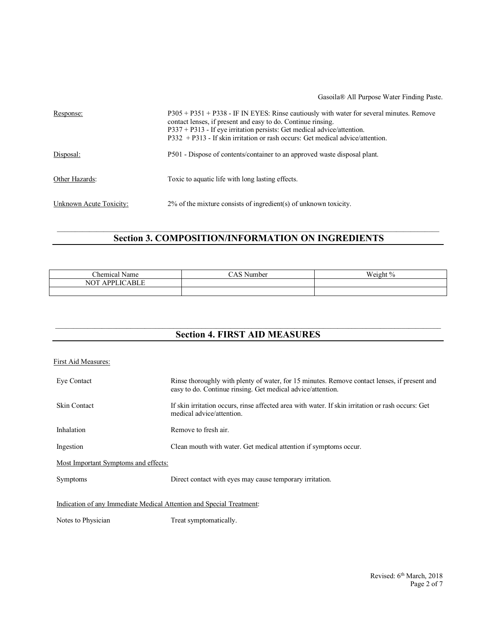#### Gasoila® All Purpose Water Finding Paste.

| Response:               | P305 + P351 + P338 - IF IN EYES: Rinse cautiously with water for several minutes. Remove<br>contact lenses, if present and easy to do. Continue ringing.<br>$P337 + P313$ - If eye irritation persists: Get medical advice/attention.<br>$P332 + P313$ - If skin irritation or rash occurs: Get medical advice/attention. |
|-------------------------|---------------------------------------------------------------------------------------------------------------------------------------------------------------------------------------------------------------------------------------------------------------------------------------------------------------------------|
| Disposal:               | P501 - Dispose of contents/container to an approved waste disposal plant.                                                                                                                                                                                                                                                 |
| Other Hazards:          | Toxic to aquatic life with long lasting effects.                                                                                                                                                                                                                                                                          |
| Unknown Acute Toxicity: | $2\%$ of the mixture consists of ingredient(s) of unknown toxicity.                                                                                                                                                                                                                                                       |

# **Section 3. COMPOSITION/INFORMATION ON INGREDIENTS**

| $\sim$<br>- -<br>Chemical<br>Name | <b>XX</b><br>$\sim$<br>√umber | <b>TTT</b><br>- 0<br>M ei σhi |
|-----------------------------------|-------------------------------|-------------------------------|
| NTT<br><b>NOT</b><br>DD.<br>ப     |                               |                               |
|                                   |                               |                               |

 $\_$  , and the state of the state of the state of the state of the state of the state of the state of the state of the state of the state of the state of the state of the state of the state of the state of the state of the

| <b>Section 4. FIRST AID MEASURES</b>                                 |                                                                                                                                                             |  |  |
|----------------------------------------------------------------------|-------------------------------------------------------------------------------------------------------------------------------------------------------------|--|--|
| First Aid Measures:                                                  |                                                                                                                                                             |  |  |
| Eye Contact                                                          | Rinse thoroughly with plenty of water, for 15 minutes. Remove contact lenses, if present and<br>easy to do. Continue rinsing. Get medical advice/attention. |  |  |
| <b>Skin Contact</b>                                                  | If skin irritation occurs, rinse affected area with water. If skin irritation or rash occurs: Get<br>medical advice/attention.                              |  |  |
| Inhalation                                                           | Remove to fresh air.                                                                                                                                        |  |  |
| Ingestion                                                            | Clean mouth with water. Get medical attention if symptoms occur.                                                                                            |  |  |
| <b>Most Important Symptoms and effects:</b>                          |                                                                                                                                                             |  |  |
| <b>Symptoms</b>                                                      | Direct contact with eyes may cause temporary irritation.                                                                                                    |  |  |
| Indication of any Immediate Medical Attention and Special Treatment: |                                                                                                                                                             |  |  |
| Notes to Physician                                                   | Treat symptomatically.                                                                                                                                      |  |  |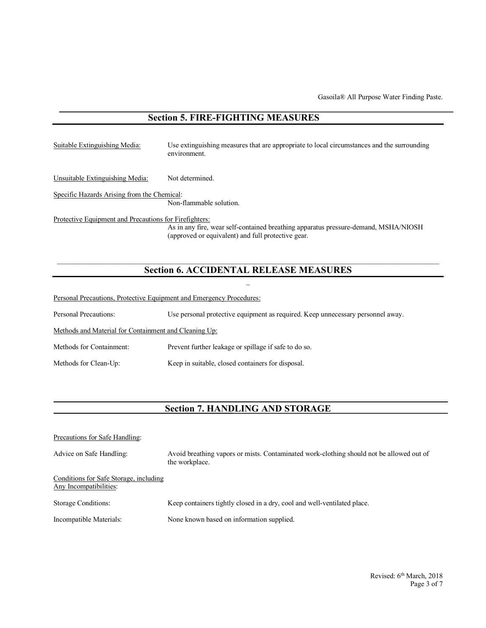## **Section 5. FIRE-FIGHTING MEASURES**

| Suitable Extinguishing Media:                          | Use extinguishing measures that are appropriate to local circumstances and the surrounding<br>environment.                                |
|--------------------------------------------------------|-------------------------------------------------------------------------------------------------------------------------------------------|
| Unsuitable Extinguishing Media:                        | Not determined.                                                                                                                           |
| Specific Hazards Arising from the Chemical:            | Non-flammable solution.                                                                                                                   |
| Protective Equipment and Precautions for Firefighters: |                                                                                                                                           |
|                                                        | As in any fire, wear self-contained breathing apparatus pressure-demand, MSHA/NIOSH<br>(approved or equivalent) and full protective gear. |

### **Section 6. ACCIDENTAL RELEASE MEASURES**  $\mathcal{L}(\mathcal{L})$

Personal Precautions, Protective Equipment and Emergency Procedures:

Personal Precautions: Use personal protective equipment as required. Keep unnecessary personnel away.

Methods and Material for Containment and Cleaning Up:

Methods for Containment: Prevent further leakage or spillage if safe to do so.

Methods for Clean-Up: Keep in suitable, closed containers for disposal.

## **Section 7. HANDLING AND STORAGE**

| Precautions for Safe Handling:                                   |                                                                                                            |
|------------------------------------------------------------------|------------------------------------------------------------------------------------------------------------|
| Advice on Safe Handling:                                         | Avoid breathing vapors or mists. Contaminated work-clothing should not be allowed out of<br>the workplace. |
| Conditions for Safe Storage, including<br>Any Incompatibilities: |                                                                                                            |
| <b>Storage Conditions:</b>                                       | Keep containers tightly closed in a dry, cool and well-ventilated place.                                   |
| Incompatible Materials:                                          | None known based on information supplied.                                                                  |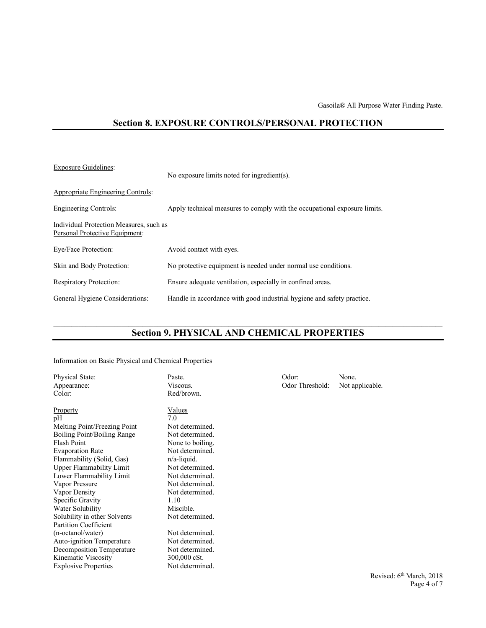#### **Section 8. EXPOSURE CONTROLS/PERSONAL PROTECTION**

| <b>Exposure Guidelines:</b>                                               | No exposure limits noted for ingredient(s).                               |  |  |
|---------------------------------------------------------------------------|---------------------------------------------------------------------------|--|--|
| Appropriate Engineering Controls:                                         |                                                                           |  |  |
| Engineering Controls:                                                     | Apply technical measures to comply with the occupational exposure limits. |  |  |
| Individual Protection Measures, such as<br>Personal Protective Equipment: |                                                                           |  |  |
| Eye/Face Protection:                                                      | Avoid contact with eyes.                                                  |  |  |
| Skin and Body Protection:                                                 | No protective equipment is needed under normal use conditions.            |  |  |
| <b>Respiratory Protection:</b>                                            | Ensure adequate ventilation, especially in confined areas.                |  |  |
| General Hygiene Considerations:                                           | Handle in accordance with good industrial hygiene and safety practice.    |  |  |

## **Section 9. PHYSICAL AND CHEMICAL PROPERTIES**

#### Information on Basic Physical and Chemical Properties

| Physical State:<br>Appearance:<br>Color:                                                                                                                                                                                                                                                                                                                       | Paste.<br>Viscous.<br>Red/brown.                                                                                                                                                                                                 | Odor:<br>Odor Threshold: | None.<br>Not applicable. |
|----------------------------------------------------------------------------------------------------------------------------------------------------------------------------------------------------------------------------------------------------------------------------------------------------------------------------------------------------------------|----------------------------------------------------------------------------------------------------------------------------------------------------------------------------------------------------------------------------------|--------------------------|--------------------------|
| <b>Property</b><br>pH<br>Melting Point/Freezing Point<br>Boiling Point/Boiling Range<br>Flash Point<br><b>Evaporation Rate</b><br>Flammability (Solid, Gas)<br>Upper Flammability Limit<br>Lower Flammability Limit<br>Vapor Pressure<br>Vapor Density<br>Specific Gravity<br>Water Solubility<br>Solubility in other Solvents<br><b>Partition Coefficient</b> | Values<br>7.0<br>Not determined.<br>Not determined.<br>None to boiling.<br>Not determined.<br>$n/a$ -liquid.<br>Not determined.<br>Not determined.<br>Not determined.<br>Not determined.<br>1.10<br>Miscible.<br>Not determined. |                          |                          |
| (n-octanol/water)<br><b>Auto-ignition Temperature</b><br>Decomposition Temperature<br>Kinematic Viscosity<br><b>Explosive Properties</b>                                                                                                                                                                                                                       | Not determined.<br>Not determined.<br>Not determined.<br>300,000 cSt.<br>Not determined.                                                                                                                                         |                          |                          |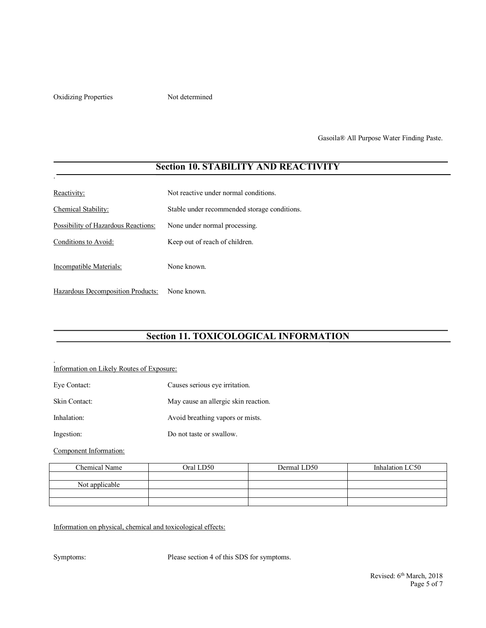Oxidizing Properties Not determined

.

.

Gasoila® All Purpose Water Finding Paste.

## **Section 10. STABILITY AND REACTIVITY**

| Reactivity:                         | Not reactive under normal conditions.        |
|-------------------------------------|----------------------------------------------|
| Chemical Stability:                 | Stable under recommended storage conditions. |
| Possibility of Hazardous Reactions: | None under normal processing.                |
| Conditions to Avoid:                | Keep out of reach of children.               |
| Incompatible Materials:             | None known.                                  |
| Hazardous Decomposition Products:   | None known.                                  |

# **Section 11. TOXICOLOGICAL INFORMATION**

#### Information on Likely Routes of Exposure:

| Eye Contact:  | Causes serious eye irritation.       |
|---------------|--------------------------------------|
| Skin Contact: | May cause an allergic skin reaction. |
| Inhalation:   | Avoid breathing vapors or mists.     |
| Ingestion:    | Do not taste or swallow.             |

Component Information:

| Chemical Name  | Oral LD50 | Dermal LD50 | Inhalation LC50 |
|----------------|-----------|-------------|-----------------|
|                |           |             |                 |
| Not applicable |           |             |                 |
|                |           |             |                 |
|                |           |             |                 |

Information on physical, chemical and toxicological effects:

Symptoms: Please section 4 of this SDS for symptoms.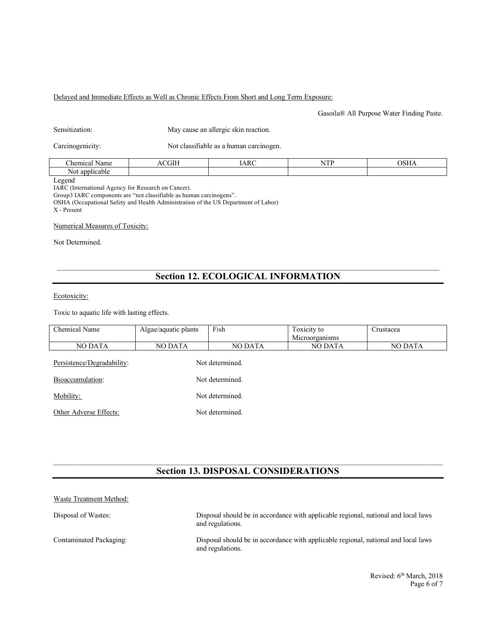#### Delayed and Immediate Effects as Well as Chronic Effects From Short and Long Term Exposure:

Gasoila® All Purpose Water Finding Paste.

| May cause an allergic skin reaction. |
|--------------------------------------|
|                                      |

Carcinogenicity:

| Not classifiable as a human carcinogen. |  |  |
|-----------------------------------------|--|--|
|-----------------------------------------|--|--|

| $\sim$<br>:hem<br>سمعدا<br>1100<br>л<br>манк | $\sim$ | – | <b>Service</b> St<br>. | $\alpha$ |
|----------------------------------------------|--------|---|------------------------|----------|
| $\sim$<br>Not<br>116                         |        |   |                        |          |
| $\sim$                                       |        |   |                        |          |

Legend

IARC (International Agency for Research on Cancer).

Group3 IARC components are "not classifiable as human carcinogens".

OSHA (Occupational Safety and Health Administration of the US Department of Labor) X - Present

Numerical Measures of Toxicity:

Not Determined.

# **Section 12. ECOLOGICAL INFORMATION**

#### Ecotoxicity:

Toxic to aquatic life with lasting effects.

| Chemical Name              | Algae/aquatic plants | Fish            | Toxicity to    | Crustacea |
|----------------------------|----------------------|-----------------|----------------|-----------|
|                            |                      |                 | Microorganisms |           |
| <b>NO DATA</b>             | <b>NO DATA</b>       | <b>NO DATA</b>  | <b>NO DATA</b> | NO DATA   |
| Persistence/Degradability: |                      | Not determined. |                |           |
| Bioaccumulation:           | Not determined.      |                 |                |           |
| Mobility:                  |                      | Not determined. |                |           |
| Other Adverse Effects:     |                      | Not determined. |                |           |
|                            |                      |                 |                |           |

## **Section 13. DISPOSAL CONSIDERATIONS**

| Waste Treatment Method: |                                                                                                        |
|-------------------------|--------------------------------------------------------------------------------------------------------|
| Disposal of Wastes:     | Disposal should be in accordance with applicable regional, national and local laws<br>and regulations. |
| Contaminated Packaging: | Disposal should be in accordance with applicable regional, national and local laws<br>and regulations. |